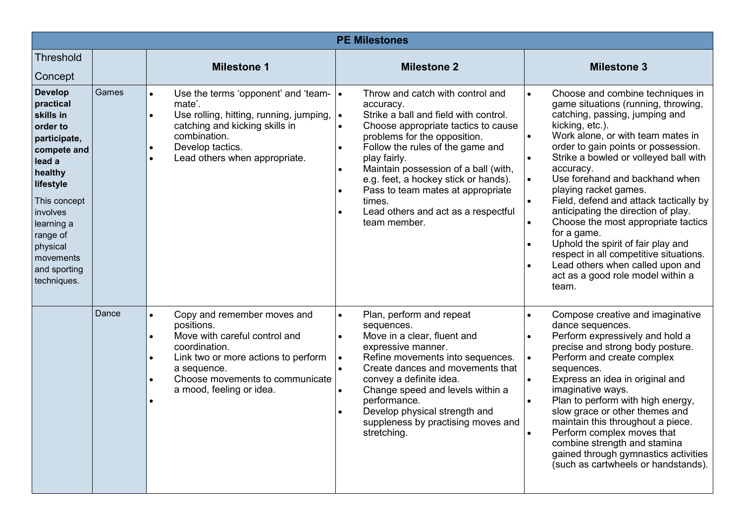| <b>PE Milestones</b>                                                                                                                                                                                                                |       |                                                                                                                                                                                                                                    |                                                                                                                                                                                                                                                                                                                                                                                                                                                                          |                                                                                                                                                                                                                                                                                                                                                                                                                                                                                                                                                                                                                                                                                        |  |  |  |  |
|-------------------------------------------------------------------------------------------------------------------------------------------------------------------------------------------------------------------------------------|-------|------------------------------------------------------------------------------------------------------------------------------------------------------------------------------------------------------------------------------------|--------------------------------------------------------------------------------------------------------------------------------------------------------------------------------------------------------------------------------------------------------------------------------------------------------------------------------------------------------------------------------------------------------------------------------------------------------------------------|----------------------------------------------------------------------------------------------------------------------------------------------------------------------------------------------------------------------------------------------------------------------------------------------------------------------------------------------------------------------------------------------------------------------------------------------------------------------------------------------------------------------------------------------------------------------------------------------------------------------------------------------------------------------------------------|--|--|--|--|
| <b>Threshold</b><br>Concept                                                                                                                                                                                                         |       | <b>Milestone 1</b>                                                                                                                                                                                                                 | <b>Milestone 2</b>                                                                                                                                                                                                                                                                                                                                                                                                                                                       | <b>Milestone 3</b>                                                                                                                                                                                                                                                                                                                                                                                                                                                                                                                                                                                                                                                                     |  |  |  |  |
| <b>Develop</b><br>practical<br>skills in<br>order to<br>participate,<br>compete and<br>lead a<br>healthy<br>lifestyle<br>This concept<br>involves<br>learning a<br>range of<br>physical<br>movements<br>and sporting<br>techniques. | Games | Use the terms 'opponent' and 'team- $\vert \bullet \vert$<br>mate'.<br>Use rolling, hitting, running, jumping,<br>$\bullet$<br>catching and kicking skills in<br>combination.<br>Develop tactics.<br>Lead others when appropriate. | Throw and catch with control and<br>accuracy.<br>Strike a ball and field with control.<br>$\bullet$<br>Choose appropriate tactics to cause<br>$\bullet$<br>problems for the opposition.<br>Follow the rules of the game and<br>$\bullet$<br>play fairly.<br>Maintain possession of a ball (with,<br>$\bullet$<br>e.g. feet, a hockey stick or hands).<br>Pass to team mates at appropriate<br>times.<br>Lead others and act as a respectful<br>$\bullet$<br>team member. | Choose and combine techniques in<br>$\bullet$<br>game situations (running, throwing,<br>catching, passing, jumping and<br>kicking, etc.).<br>Work alone, or with team mates in<br>$\bullet$<br>order to gain points or possession.<br>Strike a bowled or volleyed ball with<br>$\bullet$<br>accuracy.<br>Use forehand and backhand when<br>playing racket games.<br>Field, defend and attack tactically by<br>$\bullet$<br>anticipating the direction of play.<br>Choose the most appropriate tactics<br>for a game.<br>Uphold the spirit of fair play and<br>respect in all competitive situations.<br>Lead others when called upon and<br>act as a good role model within a<br>team. |  |  |  |  |
|                                                                                                                                                                                                                                     | Dance | Copy and remember moves and<br>positions.<br>Move with careful control and<br>coordination.<br>Link two or more actions to perform<br>a sequence.<br>Choose movements to communicate<br>a mood, feeling or idea.                   | Plan, perform and repeat<br>$\bullet$<br>sequences.<br>Move in a clear, fluent and<br>$\bullet$<br>expressive manner.<br>Refine movements into sequences.<br>$\bullet$<br>Create dances and movements that<br>$\bullet$<br>convey a definite idea.<br>Change speed and levels within a<br>$\bullet$<br>performance.<br>Develop physical strength and<br>$\bullet$<br>suppleness by practising moves and<br>stretching.                                                   | Compose creative and imaginative<br>$\bullet$<br>dance sequences.<br>Perform expressively and hold a<br>precise and strong body posture.<br>Perform and create complex<br>sequences.<br>Express an idea in original and<br>$\bullet$<br>imaginative ways.<br>Plan to perform with high energy,<br>slow grace or other themes and<br>maintain this throughout a piece.<br>Perform complex moves that<br>combine strength and stamina<br>gained through gymnastics activities<br>(such as cartwheels or handstands).                                                                                                                                                                     |  |  |  |  |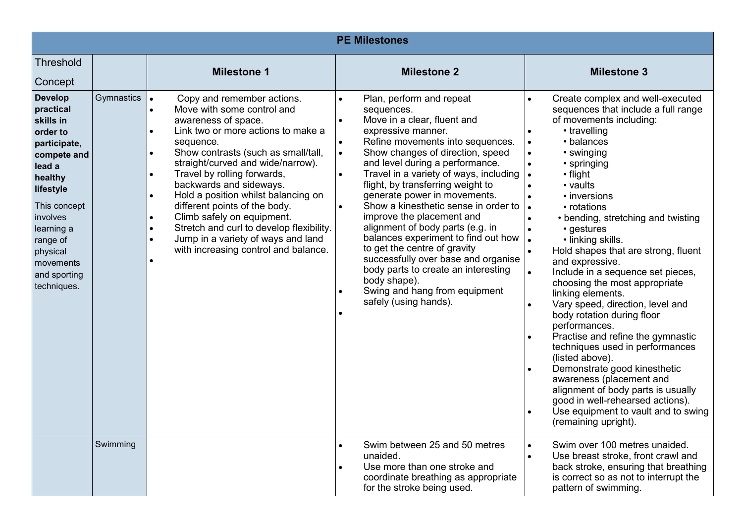| <b>PE Milestones</b>                                                                                                                                                                                                                |            |                                                                                                                                                                                                                                                                                                                                                                                                                                                                                                                                                                                                     |                                                                                                                                                                                                                                                                                                                                                                                                                                                                                                                                                                                                                                                                                                                                             |                                                                                                                                                                                                                                                                                                                                                                                                                                                                                                                                                                                                                                                                                                                                                                                                                                                                                                              |  |  |  |  |
|-------------------------------------------------------------------------------------------------------------------------------------------------------------------------------------------------------------------------------------|------------|-----------------------------------------------------------------------------------------------------------------------------------------------------------------------------------------------------------------------------------------------------------------------------------------------------------------------------------------------------------------------------------------------------------------------------------------------------------------------------------------------------------------------------------------------------------------------------------------------------|---------------------------------------------------------------------------------------------------------------------------------------------------------------------------------------------------------------------------------------------------------------------------------------------------------------------------------------------------------------------------------------------------------------------------------------------------------------------------------------------------------------------------------------------------------------------------------------------------------------------------------------------------------------------------------------------------------------------------------------------|--------------------------------------------------------------------------------------------------------------------------------------------------------------------------------------------------------------------------------------------------------------------------------------------------------------------------------------------------------------------------------------------------------------------------------------------------------------------------------------------------------------------------------------------------------------------------------------------------------------------------------------------------------------------------------------------------------------------------------------------------------------------------------------------------------------------------------------------------------------------------------------------------------------|--|--|--|--|
| <b>Threshold</b><br>Concept                                                                                                                                                                                                         |            | <b>Milestone 1</b>                                                                                                                                                                                                                                                                                                                                                                                                                                                                                                                                                                                  | <b>Milestone 2</b>                                                                                                                                                                                                                                                                                                                                                                                                                                                                                                                                                                                                                                                                                                                          | <b>Milestone 3</b>                                                                                                                                                                                                                                                                                                                                                                                                                                                                                                                                                                                                                                                                                                                                                                                                                                                                                           |  |  |  |  |
| <b>Develop</b><br>practical<br>skills in<br>order to<br>participate,<br>compete and<br>lead a<br>healthy<br>lifestyle<br>This concept<br>involves<br>learning a<br>range of<br>physical<br>movements<br>and sporting<br>techniques. | Gymnastics | Copy and remember actions.<br>$\bullet$<br>Move with some control and<br>awareness of space.<br>Link two or more actions to make a<br>$\bullet$<br>sequence.<br>Show contrasts (such as small/tall,<br>straight/curved and wide/narrow).<br>Travel by rolling forwards,<br>$\bullet$<br>backwards and sideways.<br>Hold a position whilst balancing on<br>$\bullet$<br>different points of the body.<br>Climb safely on equipment.<br>$\bullet$<br>Stretch and curl to develop flexibility.<br>$\bullet$<br>Jump in a variety of ways and land<br>$\bullet$<br>with increasing control and balance. | Plan, perform and repeat<br>$\bullet$<br>sequences.<br>Move in a clear, fluent and<br>$\bullet$<br>expressive manner.<br>Refine movements into sequences.<br>$\bullet$<br>Show changes of direction, speed<br>$\bullet$<br>and level during a performance.<br>Travel in a variety of ways, including<br>$\bullet$<br>flight, by transferring weight to<br>generate power in movements.<br>Show a kinesthetic sense in order to<br>$\bullet$<br>improve the placement and<br>alignment of body parts (e.g. in<br>balances experiment to find out how<br>to get the centre of gravity<br>successfully over base and organise<br>body parts to create an interesting<br>body shape).<br>Swing and hang from equipment<br>safely (using hands). | Create complex and well-executed<br>sequences that include a full range<br>of movements including:<br>• travelling<br>• balances<br>$\bullet$<br>• swinging<br>$\bullet$<br>• springing<br>$\bullet$<br>$\cdot$ flight<br>• vaults<br>• inversions<br>$\bullet$<br>• rotations<br>• bending, stretching and twisting<br>$\bullet$<br>• gestures<br>· linking skills.<br>Hold shapes that are strong, fluent<br>and expressive.<br>Include in a sequence set pieces,<br>choosing the most appropriate<br>linking elements.<br>Vary speed, direction, level and<br>body rotation during floor<br>performances.<br>Practise and refine the gymnastic<br>techniques used in performances<br>(listed above).<br>Demonstrate good kinesthetic<br>awareness (placement and<br>alignment of body parts is usually<br>good in well-rehearsed actions).<br>Use equipment to vault and to swing<br>(remaining upright). |  |  |  |  |
|                                                                                                                                                                                                                                     | Swimming   |                                                                                                                                                                                                                                                                                                                                                                                                                                                                                                                                                                                                     | Swim between 25 and 50 metres<br>unaided.<br>Use more than one stroke and<br>$\bullet$<br>coordinate breathing as appropriate<br>for the stroke being used.                                                                                                                                                                                                                                                                                                                                                                                                                                                                                                                                                                                 | Swim over 100 metres unaided.<br>$\bullet$<br>Use breast stroke, front crawl and<br>$\bullet$<br>back stroke, ensuring that breathing<br>is correct so as not to interrupt the<br>pattern of swimming.                                                                                                                                                                                                                                                                                                                                                                                                                                                                                                                                                                                                                                                                                                       |  |  |  |  |